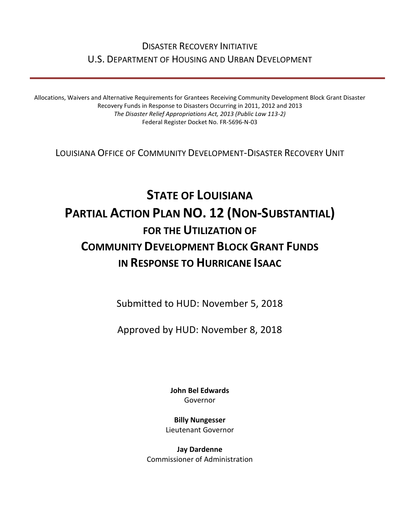## DISASTER RECOVERY INITIATIVE U.S. DEPARTMENT OF HOUSING AND URBAN DEVELOPMENT

Allocations, Waivers and Alternative Requirements for Grantees Receiving Community Development Block Grant Disaster Recovery Funds in Response to Disasters Occurring in 2011, 2012 and 2013 *The Disaster Relief Appropriations Act, 2013 (Public Law 113-2)* Federal Register Docket No. FR-5696-N-03

LOUISIANA OFFICE OF COMMUNITY DEVELOPMENT-DISASTER RECOVERY UNIT

# **STATE OF LOUISIANA PARTIAL ACTION PLAN NO. 12 (NON-SUBSTANTIAL) FOR THE UTILIZATION OF COMMUNITY DEVELOPMENT BLOCK GRANT FUNDS IN RESPONSE TO HURRICANE ISAAC**

Submitted to HUD: November 5, 2018

Approved by HUD: November 8, 2018

**[John Bel Edwards](https://www.facebook.com/LouisianaGov/)** Governor

**Billy Nungesser** Lieutenant Governor

**Jay Dardenne** Commissioner of Administration